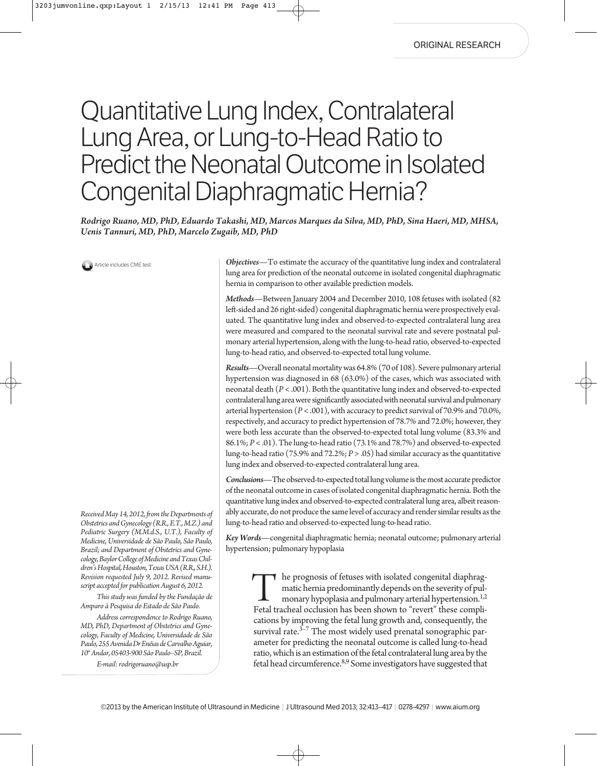# Quantitative Lung Index, Contralateral Lung Area, or Lung-to-Head Ratio to Predict the Neonatal Outcome in Isolated Congenital Diaphragmatic Hernia?

*Rodrigo Ruano, MD, PhD, Eduardo Takashi, MD, Marcos Marques da Silva, MD, PhD, Sina Haeri, MD, MHSA, Uenis Tannuri, MD, PhD, Marcelo Zugaib, MD, PhD*

**Article includes CME test** 

*Received May 14, 2012, from the Departments of Obstetrics and Gynecology (R.R., E.T., M.Z.) and Pediatric Surgery (M.M.d.S., U.T.), Faculty of Medicine, Universidade de São Paulo, São Paulo, Brazil; and Department of Obstetrics and Gynecology, Baylor College of Medicine and Texas Children's Hospital, Houston, Texas USA (R.R., S.H.). Revision requested July 9, 2012. Revised manuscript accepted for publication August 6, 2012.*

*This study was funded by the Fundação de Amparo à Pesquisa do Estado de São Paulo.*

*Address correspondence to Rodrigo Ruano, MD, PhD, Department of Obstetrics and Gynecology, Faculty of Medicine, Universidade de São Paulo, 255 Avenida Dr Enéias de Carvalho Aguiar, 10° Andar, 05403-900 São Paulo–SP, Brazil.*

*E-mail: rodrigoruano@usp.br*

*Objectives*—To estimate the accuracy of the quantitative lung index and contralateral lung area for prediction of the neonatal outcome in isolated congenital diaphragmatic hernia in comparison to other available prediction models.

*Methods*—Between January 2004 and December 2010, 108 fetuses with isolated (82 left-sided and 26 right-sided) congenital diaphragmatic hernia were prospectively evaluated. The quantitative lung index and observed-to-expected contralateral lung area were measured and compared to the neonatal survival rate and severe postnatal pulmonary arterial hypertension, along with the lung-to-head ratio, observed-to-expected lung-to-head ratio, and observed-to-expected total lung volume.

*Results*—Overall neonatal mortality was 64.8% (70 of 108). Severe pulmonary arterial hypertension was diagnosed in 68 (63.0%) of the cases, which was associated with neonatal death (*P* < .001). Both the quantitative lung index and observed-to-expected contralateral lung area were significantly associated with neonatal survival and pulmonary arterial hypertension (*P* < .001), with accuracy to predict survival of 70.9% and 70.0%, respectively, and accuracy to predict hypertension of 78.7% and 72.0%; however, they were both less accurate than the observed-to-expected total lung volume (83.3% and 86.1%; *P* < .01). The lung-to-head ratio (73.1% and 78.7%) and observed-to-expected lung-to-head ratio (75.9% and 72.2%; *P* > .05) had similar accuracy as the quantitative lung index and observed-to-expected contralateral lung area.

*Conclusions*—The observed-to-expected total lung volume is the most accurate predictor of the neonatal outcome in cases of isolated congenital diaphragmatic hernia. Both the quantitative lung index and observed-to-expected contralateral lung area, albeit reasonably accurate, do not produce the same level of accuracy and render similar results as the lung-to-head ratio and observed-to-expected lung-to-head ratio.

*Key Words*—congenital diaphragmatic hernia; neonatal outcome; pulmonary arterial hypertension; pulmonary hypoplasia

he prognosis of fetuses with isolated congenital diaphragmatic hernia predominantly depends on the severity of pulmonary hypoplasia and pulmonary arterial hypertension.<sup>1,2</sup> The prognosis of fetuses with isolated congenital diaphragmatic hernia predominantly depends on the severity of pulmonary hypoplasia and pulmonary arterial hypertension.<sup>1,2</sup><br>Fetal tracheal occlusion has been shown to "rev cations by improving the fetal lung growth and, consequently, the survival rate. $3-7$  The most widely used prenatal sonographic parameter for predicting the neonatal outcome is called lung-to-head ratio, which is an estimation of the fetal contralateral lung area by the fetal head circumference.<sup>8,9</sup> Some investigators have suggested that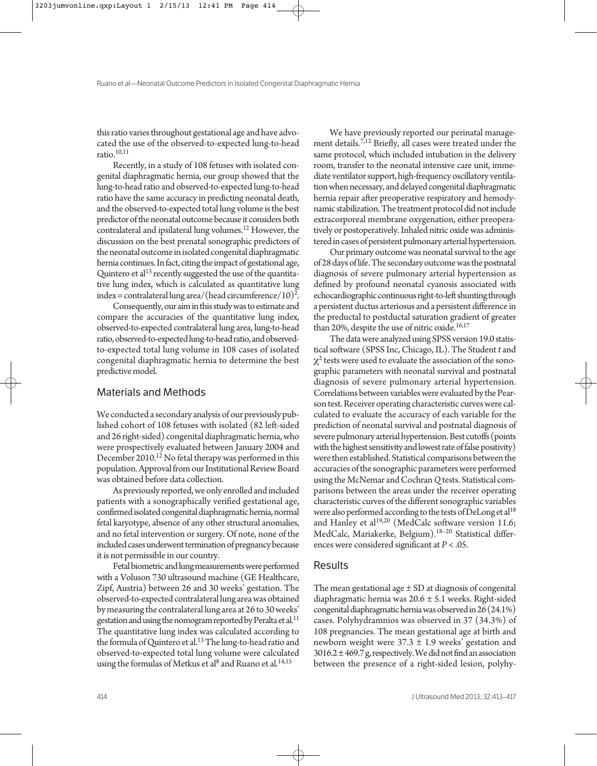this ratio varies throughout gestational age and have advocated the use of the observed-to-expected lung-to-head ratio. $10,11$ 

Recently, in a study of 108 fetuses with isolated congenital diaphragmatic hernia, our group showed that the lung-to-head ratio and observed-to-expected lung-to-head ratio have the same accuracy in predicting neonatal death, and the observed-to-expected total lung volume is the best predictor of the neonatal outcome because it considers both contralateral and ipsilateral lung volumes.<sup>12</sup> However, the discussion on the best prenatal sonographic predictors of the neonatal outcome in isolated congenital diaphragmatic hernia continues. In fact, citing the impact of gestational age, Quintero et al<sup>13</sup> recently suggested the use of the quantitative lung index, which is calculated as quantitative lung index = contralateral lung area/(head circumference/10)2 .

Consequently, our aim in this study was to estimate and compare the accuracies of the quantitative lung index, observed-to-expected contralateral lung area, lung-to-head ratio, observed-to-expected lung-to-head ratio, and observedto-expected total lung volume in 108 cases of isolated congenital diaphragmatic hernia to determine the best predictive model.

#### Materials and Methods

We conducted a secondary analysis of our previously published cohort of 108 fetuses with isolated (82 left-sided and 26 right-sided) congenital diaphragmatic hernia, who were prospectively evaluated between January 2004 and December 2010.<sup>12</sup> No fetal therapy was performed in this population. Approval from our Institutional Review Board was obtained before data collection.

As previously reported, we only enrolled and included patients with a sonographically verified gestational age, confirmed isolated congenital diaphragmatic hernia, normal fetal karyotype, absence of any other structural anomalies, and no fetal intervention or surgery. Of note, none of the included cases underwent termination of pregnancy because it is not permissible in our country.

Fetal biometric and lung measurements were performed with a Voluson 730 ultrasound machine (GE Healthcare, Zipf, Austria) between 26 and 30 weeks' gestation. The observed-to-expected contralateral lung area was obtained by measuring the contralateral lung area at 26 to 30 weeks' gestation and using the nomogram reported by Peralta et al.<sup>11</sup> The quantitative lung index was calculated according to the formula of Quintero et al.<sup>13</sup> The lung-to-head ratio and observed-to-expected total lung volume were calculated using the formulas of Metkus et al<sup>8</sup> and Ruano et al.<sup>14,15</sup>

We have previously reported our perinatal management details.7,12 Briefly, all cases were treated under the same protocol, which included intubation in the delivery room, transfer to the neonatal intensive care unit, immediate ventilator support, high-frequency oscillatory ventilation when necessary, and delayed congenital diaphragmatic hernia repair after preoperative respiratory and hemodynamic stabilization. The treatment protocol did not include extracorporeal membrane oxygenation, either preoperatively or postoperatively. Inhaled nitric oxide was administered in cases of persistent pulmonary arterial hypertension.

Our primary outcome was neonatal survival to the age of 28 days of life. The secondary outcome was the postnatal diagnosis of severe pulmonary arterial hypertension as defined by profound neonatal cyanosis associated with echocardiographic continuous right-to-left shunting through a persistent ductus arteriosus and a persistent difference in the preductal to postductal saturation gradient of greater than 20%, despite the use of nitric oxide.<sup>16,17</sup>

The data were analyzed using SPSS version 19.0 statistical software (SPSS Inc, Chicago, IL). The Student *t* and  $\chi^2$  tests were used to evaluate the association of the sonographic parameters with neonatal survival and postnatal diagnosis of severe pulmonary arterial hypertension. Correlations between variables were evaluated by the Pearson test. Receiver operating characteristic curves were calculated to evaluate the accuracy of each variable for the prediction of neonatal survival and postnatal diagnosis of severe pulmonary arterial hypertension. Best cutoffs (points with the highest sensitivity and lowest rate of false positivity) were then established. Statistical comparisons between the accuracies of the sonographic parameters were performed using the McNemar and Cochran *Q*tests. Statistical comparisons between the areas under the receiver operating characteristic curves of the different sonographic variables were also performed according to the tests of DeLong et al<sup>18</sup> and Hanley et al<sup>19,20</sup> (MedCalc software version 11.6; MedCalc, Mariakerke, Belgium).18–20 Statistical differences were considered significant at *P* < .05.

#### **Results**

The mean gestational age  $\pm$  SD at diagnosis of congenital diaphragmatic hernia was 20.6 ± 5.1 weeks. Right-sided congenital diaphragmatic hernia was observed in 26 (24.1%) cases. Polyhydramnios was observed in 37 (34.3%) of 108 pregnancies. The mean gestational age at birth and newborn weight were  $37.3 \pm 1.9$  weeks' gestation and  $3016.2 \pm 469.7$  g, respectively. We did not find an association between the presence of a right-sided lesion, polyhy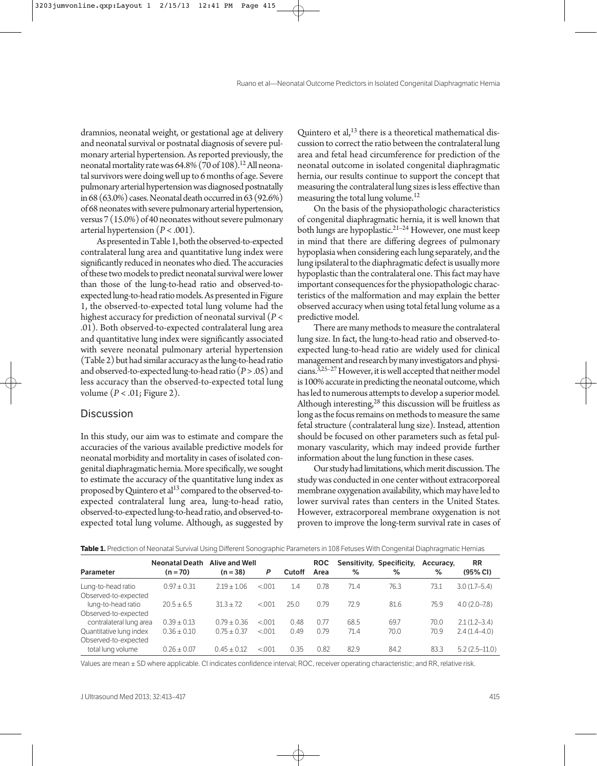dramnios, neonatal weight, or gestational age at delivery and neonatal survival or postnatal diagnosis of severe pulmonary arterial hypertension. As reported previously, the neonatal mortality rate was  $64.8\%$  (70 of 108).<sup>12</sup> All neonatal survivors were doing well up to 6 months of age. Severe pulmonary arterial hypertension was diagnosed postnatally in 68 (63.0%) cases. Neonatal death occurred in 63 (92.6%) of 68 neonates with severe pulmonary arterial hypertension, versus 7 (15.0%) of 40 neonates without severe pulmonary arterial hypertension (*P* < .001).

As presented in Table 1, both the observed-to-expected contralateral lung area and quantitative lung index were significantly reduced in neonates who died. The accuracies of these two models to predict neonatal survival were lower than those of the lung-to-head ratio and observed-toexpected lung-to-head ratio models.As presented in Figure 1, the observed-to-expected total lung volume had the highest accuracy for prediction of neonatal survival (*P* < .01). Both observed-to-expected contralateral lung area and quantitative lung index were significantly associated with severe neonatal pulmonary arterial hypertension (Table 2) but had similar accuracy as the lung-to-head ratio and observed-to-expected lung-to-head ratio (*P*> .05) and less accuracy than the observed-to-expected total lung volume (*P* < .01; Figure 2).

### **Discussion**

In this study, our aim was to estimate and compare the accuracies of the various available predictive models for neonatal morbidity and mortality in cases of isolated congenital diaphragmatic hernia. More specifically, we sought to estimate the accuracy of the quantitative lung index as proposed by Quintero et al<sup>13</sup> compared to the observed-toexpected contralateral lung area, lung-to-head ratio, observed-to-expected lung-to-head ratio, and observed-toexpected total lung volume. Although, as suggested by

Quintero et al, $^{13}$  there is a theoretical mathematical discussion to correct the ratio between the contralateral lung area and fetal head circumference for prediction of the neonatal outcome in isolated congenital diaphragmatic hernia, our results continue to support the concept that measuring the contralateral lung sizes is less effective than measuring the total lung volume.<sup>12</sup>

On the basis of the physiopathologic characteristics of congenital diaphragmatic hernia, it is well known that both lungs are hypoplastic.21–24 However, one must keep in mind that there are differing degrees of pulmonary hypoplasia when considering each lung separately, and the lung ipsilateral to the diaphragmatic defect is usually more hypoplastic than the contralateral one. This fact may have important consequences for the physiopathologic characteristics of the malformation and may explain the better observed accuracy when using total fetal lung volume as a predictive model.

There are many methods to measure the contralateral lung size. In fact, the lung-to-head ratio and observed-toexpected lung-to-head ratio are widely used for clinical management and research by many investigators and physicians.<sup>3,25-27</sup> However, it is well accepted that neither model is 100% accurate in predicting the neonatal outcome, which has led to numerous attempts to develop a superior model. Although interesting, $^{28}$  this discussion will be fruitless as long as the focus remains on methods to measure the same fetal structure (contralateral lung size). Instead, attention should be focused on other parameters such as fetal pulmonary vascularity, which may indeed provide further information about the lung function in these cases.

Our study had limitations, which merit discussion. The study was conducted in one center without extracorporeal membrane oxygenation availability, which may have led to lower survival rates than centers in the United States. However, extracorporeal membrane oxygenation is not proven to improve the long-term survival rate in cases of

|                                                                    | <b>Neonatal Death</b> | <b>Alive and Well</b> |        |               | <b>ROC</b> |      | Sensitivity, Specificity, | Accuracy. | <b>RR</b>        |
|--------------------------------------------------------------------|-----------------------|-----------------------|--------|---------------|------------|------|---------------------------|-----------|------------------|
| <b>Parameter</b>                                                   | $(n = 70)$            | $(n = 38)$            | P      | <b>Cutoff</b> | Area       | ℅    | $\%$                      | %         | (95% CI)         |
| Lung-to-head ratio                                                 | $0.97 + 0.31$         | $2.19 + 1.06$         | < 0.01 | 1.4           | 0.78       | 71.4 | 76.3                      | 73.1      | $3.0(1.7-5.4)$   |
| Observed-to-expected<br>lung-to-head ratio<br>Observed-to-expected | $20.5 + 6.5$          | $31.3 + 7.2$          | < 0.01 | 25.0          | 0.79       | 72.9 | 81.6                      | 75.9      | $4.0(2.0 - 7.8)$ |
| contralateral lung area                                            | $0.39 \pm 0.13$       | $0.79 + 0.36$         | < 0.01 | 0.48          | 0.77       | 68.5 | 69.7                      | 70.0      | $2.1(1.2 - 3.4)$ |
| Quantitative lung index<br>Observed-to-expected                    | $0.36 \pm 0.10$       | $0.75 + 0.37$         | < 0.01 | 0.49          | 0.79       | 71.4 | 70.0                      | 70.9      | $2.4(1.4-4.0)$   |
| total lung volume                                                  | $0.26 + 0.07$         | $0.45 + 0.12$         | < 0.01 | 0.35          | 0.82       | 82.9 | 84.2                      | 83.3      | $5.2(2.5-11.0)$  |

**Table 1.** Prediction of Neonatal Survival Using Different Sonographic Parameters in 108 Fetuses With Congenital Diaphragmatic Hernias

Values are mean ± SD where applicable. CI indicates confidence interval; ROC, receiver operating characteristic; and RR, relative risk.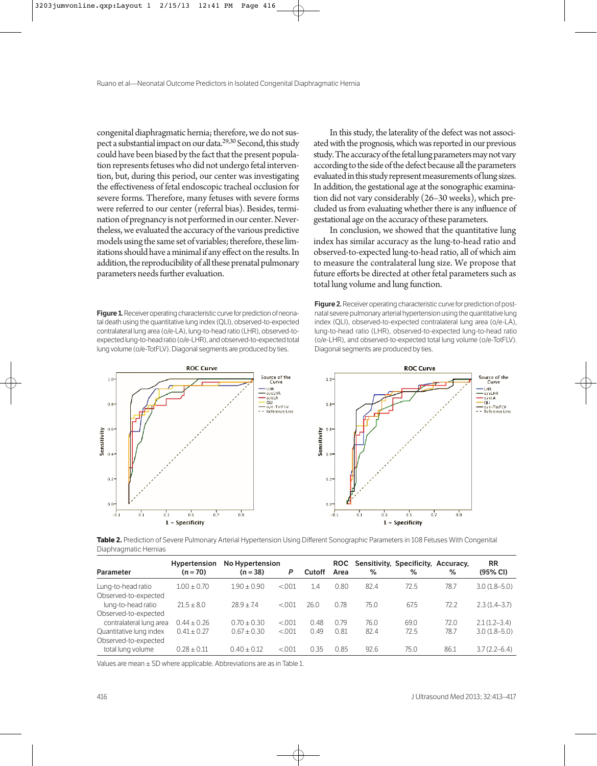congenital diaphragmatic hernia; therefore, we do not suspect a substantial impact on our data.<sup>29,30</sup> Second, this study could have been biased by the fact that the present population represents fetuses who did not undergo fetal intervention, but, during this period, our center was investigating the effectiveness of fetal endoscopic tracheal occlusion for severe forms. Therefore, many fetuses with severe forms were referred to our center (referral bias). Besides, termination of pregnancy is not performed in our center. Nevertheless, we evaluated the accuracy of the various predictive models using the same set of variables; therefore, these limitations should have a minimal if any effect on the results. In addition, the reproducibility of all these prenatal pulmonary parameters needs further evaluation.

**Figure 1.** Receiver operating characteristic curve for prediction of neonatal death using the quantitative lung index (QLI), observed-to-expected contralateral lung area (o/e-LA), lung-to-head ratio (LHR), observed-toexpected lung-to-head ratio (o/e-LHR), and observed-to-expected total lung volume (o/e-TotFLV). Diagonal segments are produced by ties.

In this study, the laterality of the defect was not associated with the prognosis, which was reported in our previous study. The accuracy of the fetal lung parameters may not vary according to the side of the defect because all the parameters evaluated in this study represent measurements of lung sizes. In addition, the gestational age at the sonographic examination did not vary considerably (26–30 weeks), which precluded us from evaluating whether there is any influence of gestational age on the accuracy of these parameters.

In conclusion, we showed that the quantitative lung index has similar accuracy as the lung-to-head ratio and observed-to-expected lung-to-head ratio, all of which aim to measure the contralateral lung size. We propose that future efforts be directed at other fetal parameters such as total lung volume and lung function.

**Figure 2.** Receiver operating characteristic curve for prediction of postnatal severe pulmonary arterial hypertension using the quantitative lung index (QLI), observed-to-expected contralateral lung area (o/e-LA), lung-to-head ratio (LHR), observed-to-expected lung-to-head ratio (o/e-LHR), and observed-to-expected total lung volume (o/e-TotFLV). Diagonal segments are produced by ties.



**Table 2.** Prediction of Severe Pulmonary Arterial Hypertension Using Different Sonographic Parameters in 108 Fetuses With Congenital Diaphragmatic Hernias

|                                                 | <b>Hypertension</b> | No Hypertension |        |               |      |      | ROC Sensitivity, Specificity, Accuracy, |      | <b>RR</b>        |
|-------------------------------------------------|---------------------|-----------------|--------|---------------|------|------|-----------------------------------------|------|------------------|
| <b>Parameter</b>                                | $(n = 70)$          | $(n = 38)$      | P      | <b>Cutoff</b> | Area | ℅    | $\%$                                    | ℅    | (95% CI)         |
| Lung-to-head ratio                              | $1.00 \pm 0.70$     | $1.90 + 0.90$   | < 0.01 | 1.4           | 0.80 | 82.4 | 72.5                                    | 78.7 | $3.0(1.8 - 5.0)$ |
| Observed-to-expected<br>lung-to-head ratio      | $21.5 + 8.0$        | $28.9 + 7.4$    | < 0.01 | 26.0          | 0.78 | 75.0 | 67.5                                    | 72.2 | $2.3(1.4-3.7)$   |
| Observed-to-expected<br>contralateral lung area | $0.44 \pm 0.26$     | $0.70 + 0.30$   | < 0.01 | O 48          | 0.79 | 76.0 | 69.0                                    | 72.0 | $2.1(1.2 - 3.4)$ |
| Quantitative lung index                         | $0.41 \pm 0.27$     | $0.67 + 0.30$   | < 0.01 | 0.49          | 0.81 | 82.4 | 72.5                                    | 78.7 | $3.0(1.8 - 5.0)$ |
| Observed-to-expected<br>total lung volume       | $0.28 \pm 0.11$     | $0.40 + 0.12$   | < 0.01 | 0.35          | 0.85 | 92.6 | 75.0                                    | 86.1 | $3.7(2.2 - 6.4)$ |

Values are mean ± SD where applicable. Abbreviations are as in Table 1.